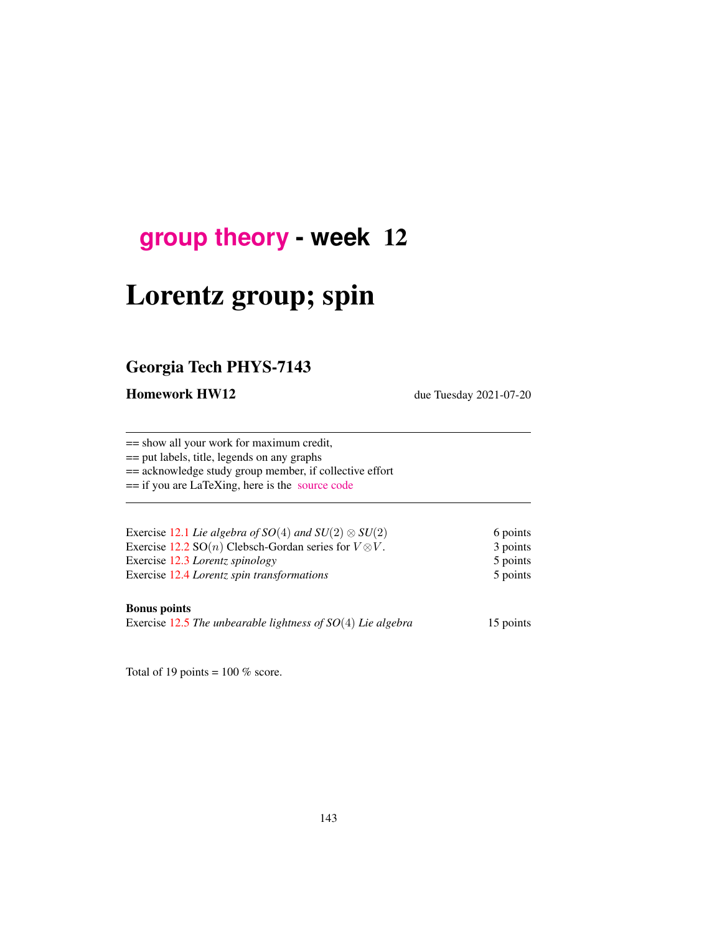## **[group theory](http://birdtracks.eu/course3/schedule.html) - week** 12

# Lorentz group; spin

### Georgia Tech PHYS-7143

Homework HW12 due Tuesday 2021-07-20

== show all your work for maximum credit,

== put labels, title, legends on any graphs

== acknowledge study group member, if collective effort

== if you are LaTeXing, here is the [source code](http://birdtracks.eu/course3/exerWeek12.tex)

| Exercise 12.1 Lie algebra of $SO(4)$ and $SU(2) \otimes SU(2)$         | 6 points |
|------------------------------------------------------------------------|----------|
| Exercise 12.2 SO( <i>n</i> ) Clebsch-Gordan series for $V \otimes V$ . | 3 points |
| Exercise 12.3 Lorentz spinology                                        | 5 points |
| Exercise 12.4 Lorentz spin transformations                             | 5 points |
|                                                                        |          |

#### Bonus points

Exercise [12.5](#page-7-3) *The unbearable lightness of SO*(4) *Lie algebra* 15 points

Total of 19 points =  $100\%$  score.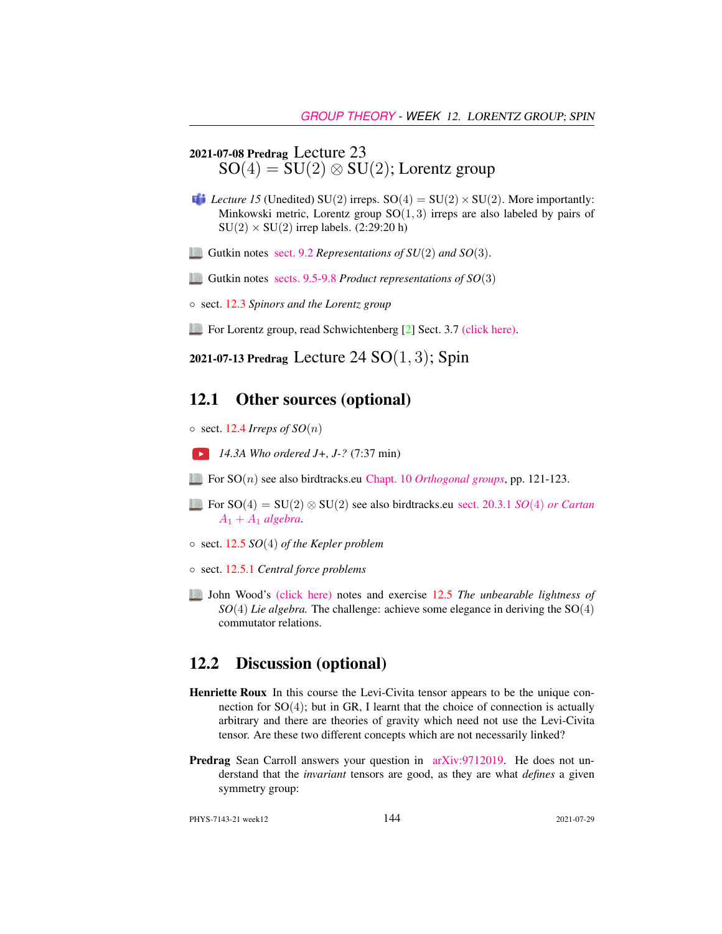### 2021-07-08 Predrag Lecture 23  $SO(4) = SU(2) \otimes SU(2)$ ; Lorentz group

- *Lecture 15* (Unedited) SU(2) irreps.  $SO(4) = SU(2) \times SU(2)$ . More importantly: Minkowski metric, Lorentz group  $SO(1,3)$  irreps are also labeled by pairs of  $SU(2) \times SU(2)$  irrep labels. (2:29:20 h)
- Gutkin notes [sect. 9.2](http://birdtracks.eu/course3/groups.pdf#section.9.2) *Representations of SU*(2) *and SO*(3).
- Gutkin notes [sects. 9.5-9.8](http://birdtracks.eu/course3/groups.pdf#section.9.5) *Product representations of SO*(3)
- sect. [12.3](#page-2-0) *Spinors and the Lorentz group*
- For Lorentz group, read Schwichtenberg [\[2\]](#page-6-1) Sect. 3.7 [\(click here\).](http://ChaosBook.org/library/Schwicht15-3edited.pdf)

2021-07-13 Predrag Lecture 24  $SO(1, 3)$ ; Spin

#### 12.1 Other sources (optional)

 $\circ$  sect. [12.4](#page-4-0) *Irreps of SO(n)* 

- *14.3A Who ordered J+, J-?* (7:37 min)
- For SO(n) see also birdtracks.eu Chapt. 10 *[Orthogonal groups](http://birdtracks.eu/version9.0/GroupTheory.pdf#equation.10.0.1)*, pp. 121-123.
- For SO(4) = SU(2) ⊗ SU(2) see also birdtracks.eu [sect. 20.3.1](http://birdtracks.eu/version9.0/GroupTheory.pdf#section.20.3) *SO*(4) *or Cartan*  $A_1 + A_1$  *[algebra](http://birdtracks.eu/version9.0/GroupTheory.pdf#section.20.3)*.
- sect. [12.5](#page-4-1) *SO*(4) *of the Kepler problem*
- sect. [12.5.1](#page-5-0) *Central force problems*
- John Wood's [\(click here\)](http://ChaosBook.org/library/WoodCh9KeplerProb.pdf) notes and exercise [12.5](#page-7-3) *The unbearable lightness of SO*(4) *Lie algebra.* The challenge: achieve some elegance in deriving the SO(4) commutator relations.

#### 12.2 Discussion (optional)

- Henriette Roux In this course the Levi-Civita tensor appears to be the unique connection for SO(4); but in GR, I learnt that the choice of connection is actually arbitrary and there are theories of gravity which need not use the Levi-Civita tensor. Are these two different concepts which are not necessarily linked?
- Predrag Sean Carroll answers your question in [arXiv:9712019.](http://arXiv.org/abs/9712019) He does not understand that the *invariant* tensors are good, as they are what *defines* a given symmetry group:

PHYS-7143-21 week12 2021-07-29 2021-07-29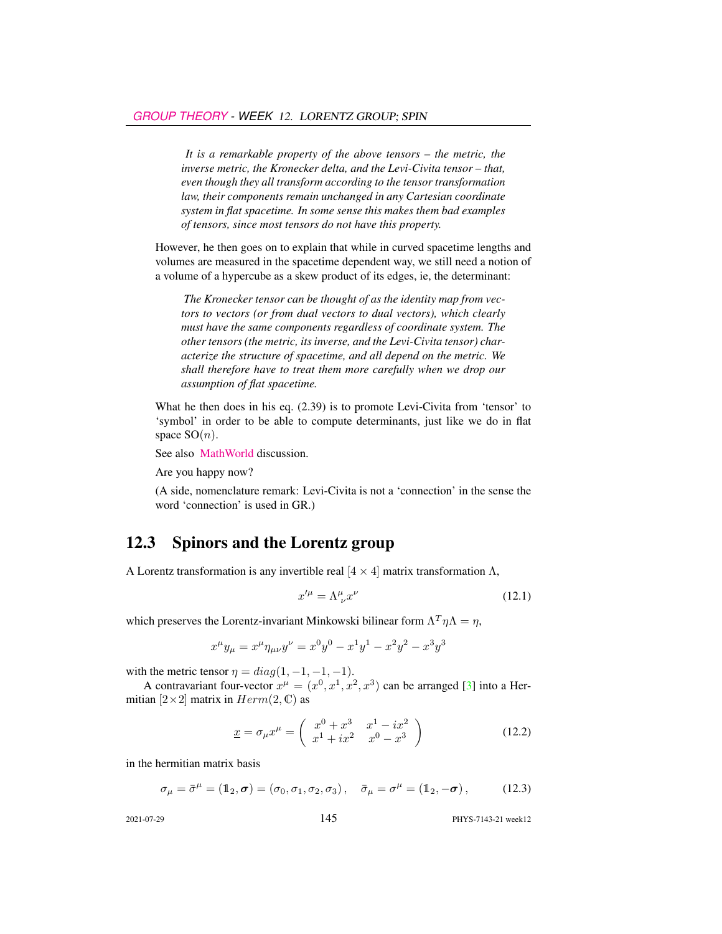*It is a remarkable property of the above tensors – the metric, the inverse metric, the Kronecker delta, and the Levi-Civita tensor – that, even though they all transform according to the tensor transformation law, their components remain unchanged in any Cartesian coordinate system in flat spacetime. In some sense this makes them bad examples of tensors, since most tensors do not have this property.*

However, he then goes on to explain that while in curved spacetime lengths and volumes are measured in the spacetime dependent way, we still need a notion of a volume of a hypercube as a skew product of its edges, ie, the determinant:

*The Kronecker tensor can be thought of as the identity map from vectors to vectors (or from dual vectors to dual vectors), which clearly must have the same components regardless of coordinate system. The other tensors (the metric, its inverse, and the Levi-Civita tensor) characterize the structure of spacetime, and all depend on the metric. We shall therefore have to treat them more carefully when we drop our assumption of flat spacetime.*

What he then does in his eq. (2.39) is to promote Levi-Civita from 'tensor' to 'symbol' in order to be able to compute determinants, just like we do in flat space  $SO(n)$ .

See also [MathWorld](http://mathworld.wolfram.com/PermutationTensor.html) discussion.

Are you happy now?

(A side, nomenclature remark: Levi-Civita is not a 'connection' in the sense the word 'connection' is used in GR.)

### <span id="page-2-0"></span>12.3 Spinors and the Lorentz group

A Lorentz transformation is any invertible real  $[4 \times 4]$  matrix transformation Λ,

<span id="page-2-2"></span>
$$
x^{\prime \mu} = \Lambda^{\mu}_{\ \nu} x^{\nu} \tag{12.1}
$$

which preserves the Lorentz-invariant Minkowski bilinear form  $\Lambda^T \eta \Lambda = \eta$ ,

$$
x^{\mu}y_{\mu} = x^{\mu}\eta_{\mu\nu}y^{\nu} = x^{0}y^{0} - x^{1}y^{1} - x^{2}y^{2} - x^{3}y^{3}
$$

with the metric tensor  $\eta = diag(1, -1, -1, -1)$ .

A contravariant four-vector  $x^{\mu} = (x^0, x^1, x^2, x^3)$  can be arranged [\[3\]](#page-6-2) into a Hermitian  $[2\times2]$  matrix in  $Herm(2, \mathbb{C})$  as

$$
\underline{x} = \sigma_{\mu} x^{\mu} = \begin{pmatrix} x^{0} + x^{3} & x^{1} - ix^{2} \\ x^{1} + ix^{2} & x^{0} - x^{3} \end{pmatrix}
$$
 (12.2)

in the hermitian matrix basis

<span id="page-2-1"></span>
$$
\sigma_{\mu} = \bar{\sigma}^{\mu} = (\mathbb{1}_2, \sigma) = (\sigma_0, \sigma_1, \sigma_2, \sigma_3), \quad \bar{\sigma}_{\mu} = \sigma^{\mu} = (\mathbb{1}_2, -\sigma), \quad (12.3)
$$

2021-07-29 145 PHYS-7143-21 week12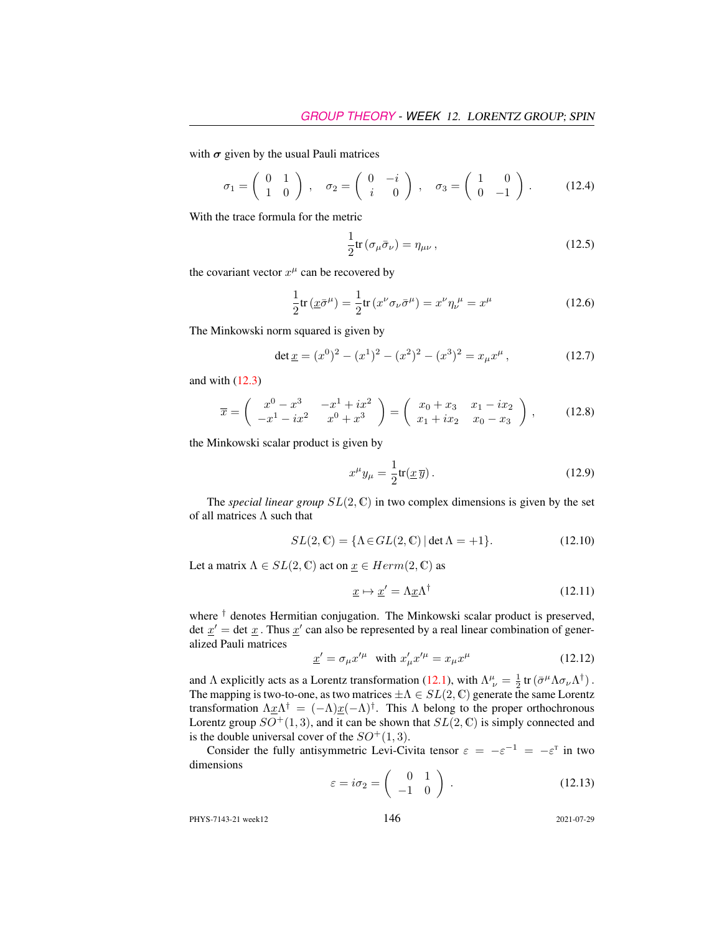with  $\sigma$  given by the usual Pauli matrices

$$
\sigma_1 = \begin{pmatrix} 0 & 1 \\ 1 & 0 \end{pmatrix}, \quad \sigma_2 = \begin{pmatrix} 0 & -i \\ i & 0 \end{pmatrix}, \quad \sigma_3 = \begin{pmatrix} 1 & 0 \\ 0 & -1 \end{pmatrix}.
$$
 (12.4)

With the trace formula for the metric

$$
\frac{1}{2}\text{tr}\left(\sigma_{\mu}\bar{\sigma}_{\nu}\right) = \eta_{\mu\nu},\qquad(12.5)
$$

the covariant vector  $x^{\mu}$  can be recovered by

$$
\frac{1}{2}\text{tr}\left(\underline{x}\bar{\sigma}^{\mu}\right) = \frac{1}{2}\text{tr}\left(x^{\nu}\sigma_{\nu}\bar{\sigma}^{\mu}\right) = x^{\nu}\eta_{\nu}^{\ \mu} = x^{\mu} \tag{12.6}
$$

The Minkowski norm squared is given by

$$
\det \underline{x} = (x^0)^2 - (x^1)^2 - (x^2)^2 - (x^3)^2 = x_\mu x^\mu, \qquad (12.7)
$$

and with  $(12.3)$ 

$$
\overline{x} = \begin{pmatrix} x^0 - x^3 & -x^1 + ix^2 \\ -x^1 - ix^2 & x^0 + x^3 \end{pmatrix} = \begin{pmatrix} x_0 + x_3 & x_1 - ix_2 \\ x_1 + ix_2 & x_0 - x_3 \end{pmatrix},
$$
(12.8)

the Minkowski scalar product is given by

$$
x^{\mu}y_{\mu} = \frac{1}{2}\text{tr}(\underline{x}\,\overline{y})\,. \tag{12.9}
$$

The *special linear group*  $SL(2, \mathbb{C})$  in two complex dimensions is given by the set of all matrices  $\Lambda$  such that

$$
SL(2,\mathbb{C}) = \{ \Lambda \in GL(2,\mathbb{C}) \, | \, \det \Lambda = +1 \}. \tag{12.10}
$$

Let a matrix  $\Lambda \in SL(2, \mathbb{C})$  act on  $\underline{x} \in Herm(2, \mathbb{C})$  as

$$
\underline{x} \mapsto \underline{x}' = \Lambda \underline{x} \Lambda^{\dagger} \tag{12.11}
$$

where  $\dagger$  denotes Hermitian conjugation. The Minkowski scalar product is preserved, det  $\underline{x}'$  = det  $\underline{x}$ . Thus  $\underline{x}'$  can also be represented by a real linear combination of generalized Pauli matrices

$$
\underline{x}' = \sigma_{\mu} x'^{\mu} \quad \text{with } x'_{\mu} x'^{\mu} = x_{\mu} x^{\mu} \tag{12.12}
$$

and  $\Lambda$  explicitly acts as a Lorentz transformation [\(12.1\)](#page-2-2), with  $\Lambda^{\mu}_{ \nu} = \frac{1}{2} \text{tr} (\bar{\sigma}^{\mu} \Lambda \sigma_{\nu} \Lambda^{\dagger})$ . The mapping is two-to-one, as two matrices  $\pm \Lambda \in SL(2,\mathbb{C})$  generate the same Lorentz transformation  $\Lambda x \Lambda^{\dagger} = (-\Lambda) x (-\Lambda)^{\dagger}$ . This  $\Lambda$  belong to the proper orthochronous Lorentz group  $SO^+(1,3)$ , and it can be shown that  $SL(2,\mathbb{C})$  is simply connected and is the double universal cover of the  $SO^+(1,3)$ .

Consider the fully antisymmetric Levi-Civita tensor  $\varepsilon = -\varepsilon^{-1} = -\varepsilon^{T}$  in two dimensions

$$
\varepsilon = i\sigma_2 = \begin{pmatrix} 0 & 1 \\ -1 & 0 \end{pmatrix} . \tag{12.13}
$$

PHYS-7143-21 week12 2021-07-29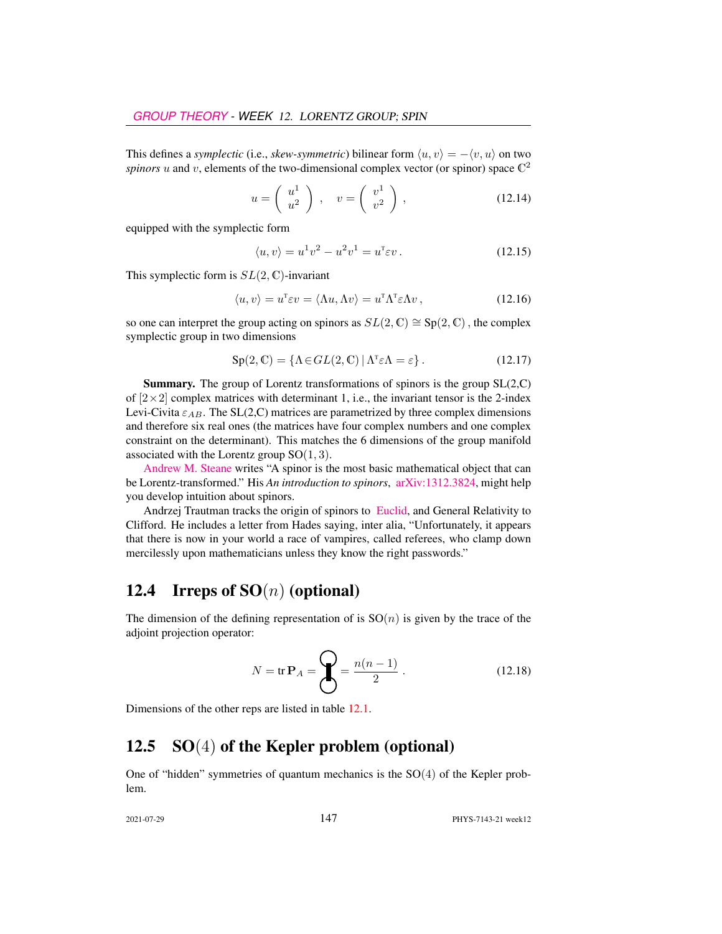This defines a *symplectic* (i.e., *skew-symmetric*) bilinear form  $\langle u, v \rangle = -\langle v, u \rangle$  on two spinors  $u$  and  $v$ , elements of the two-dimensional complex vector (or spinor) space  $\mathbb{C}^2$ 

$$
u = \left(\begin{array}{c} u^1 \\ u^2 \end{array}\right) , \quad v = \left(\begin{array}{c} v^1 \\ v^2 \end{array}\right) , \tag{12.14}
$$

equipped with the symplectic form

$$
\langle u, v \rangle = u^1 v^2 - u^2 v^1 = u^{\mathsf{T}} \varepsilon v. \tag{12.15}
$$

This symplectic form is  $SL(2, \mathbb{C})$ -invariant

$$
\langle u, v \rangle = u^{\mathsf{T}} \varepsilon v = \langle \Lambda u, \Lambda v \rangle = u^{\mathsf{T}} \Lambda^{\mathsf{T}} \varepsilon \Lambda v, \qquad (12.16)
$$

so one can interpret the group acting on spinors as  $SL(2,\mathbb{C}) \cong Sp(2,\mathbb{C})$ , the complex symplectic group in two dimensions

$$
Sp(2, \mathbb{C}) = \{ \Lambda \in GL(2, \mathbb{C}) \, | \, \Lambda^{\mathsf{T}} \varepsilon \Lambda = \varepsilon \}. \tag{12.17}
$$

Summary. The group of Lorentz transformations of spinors is the group SL(2,C) of  $[2\times2]$  complex matrices with determinant 1, i.e., the invariant tensor is the 2-index Levi-Civita  $\varepsilon_{AB}$ . The SL(2,C) matrices are parametrized by three complex dimensions and therefore six real ones (the matrices have four complex numbers and one complex constraint on the determinant). This matches the 6 dimensions of the group manifold associated with the Lorentz group  $SO(1,3)$ .

[Andrew M. Steane](https://users.physics.ox.ac.uk/~Steane/) writes "A spinor is the most basic mathematical object that can be Lorentz-transformed." His *An introduction to spinors*, [arXiv:1312.3824,](http://arXiv.org/abs/1312.3824) might help you develop intuition about spinors.

Andrzej Trautman tracks the origin of spinors to [Euclid,](http://www.fuw.edu.pl/~amt/ref15.pdf) and General Relativity to Clifford. He includes a letter from Hades saying, inter alia, "Unfortunately, it appears that there is now in your world a race of vampires, called referees, who clamp down mercilessly upon mathematicians unless they know the right passwords."

### <span id="page-4-0"></span>12.4 Irreps of  $SO(n)$  (optional)

The dimension of the defining representation of is  $SO(n)$  is given by the trace of the adjoint projection operator:

$$
N = \text{tr } \mathbf{P}_A = \bigotimes_{n=1}^{\infty} \frac{n(n-1)}{2} \,. \tag{12.18}
$$

Dimensions of the other reps are listed in table [12.1.](#page-5-1)

### <span id="page-4-1"></span>12.5  $SO(4)$  of the Kepler problem (optional)

One of "hidden" symmetries of quantum mechanics is the  $SO(4)$  of the Kepler problem.

2021-07-29 147 PHYS-7143-21 week12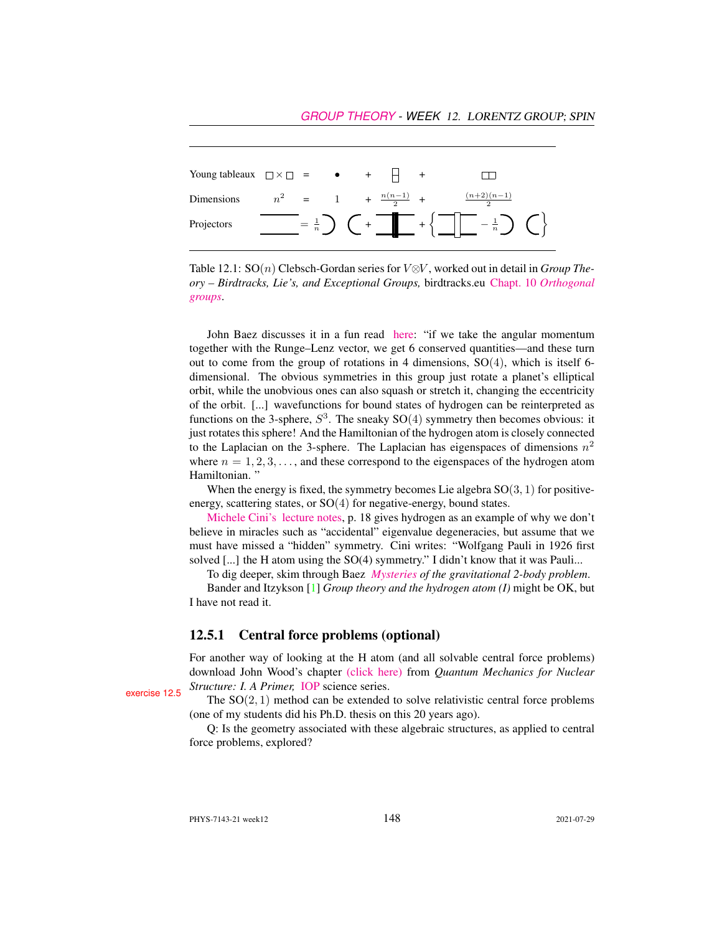| Young tableaux $\Box \times \Box = \bullet + \Box +$ |  |  |                                |                                                                                                                                                                                                                                                                                                                                                                                                                                                                                |  |
|------------------------------------------------------|--|--|--------------------------------|--------------------------------------------------------------------------------------------------------------------------------------------------------------------------------------------------------------------------------------------------------------------------------------------------------------------------------------------------------------------------------------------------------------------------------------------------------------------------------|--|
| Dimensions                                           |  |  | $n^2 = 1 + \frac{n(n-1)}{2} +$ | $\frac{(n+2)(n-1)}{n}$                                                                                                                                                                                                                                                                                                                                                                                                                                                         |  |
| Projectors                                           |  |  |                                | $\frac{1}{\sqrt{2}}$ = $\frac{1}{n}$ $\bigcup$ $\leftarrow$ $\leftarrow$ $\leftarrow$ $\leftarrow$ $\leftarrow$ $\leftarrow$ $\leftarrow$ $\leftarrow$ $\leftarrow$ $\leftarrow$ $\leftarrow$ $\leftarrow$ $\leftarrow$ $\leftarrow$ $\leftarrow$ $\leftarrow$ $\leftarrow$ $\leftarrow$ $\leftarrow$ $\leftarrow$ $\leftarrow$ $\leftarrow$ $\leftarrow$ $\leftarrow$ $\leftarrow$ $\leftarrow$ $\leftarrow$ $\leftarrow$ $\leftarrow$ $\leftarrow$ $\leftarrow$ $\leftarrow$ |  |

<span id="page-5-1"></span>Table 12.1: SO(n) Clebsch-Gordan series for V⊗V , worked out in detail in *Group Theory – Birdtracks, Lie's, and Exceptional Groups,* birdtracks.eu Chapt. 10 *[Orthogonal](http://birdtracks.eu/version9.0/GroupTheory.pdf#equation.10.0.1) [groups](http://birdtracks.eu/version9.0/GroupTheory.pdf#equation.10.0.1)*.

John Baez discusses it in a fun read [here:](https://johncarlosbaez.wordpress.com/2018/01/07/the-kepler-problem-and-the-600-cell/) "if we take the angular momentum together with the Runge–Lenz vector, we get 6 conserved quantities—and these turn out to come from the group of rotations in 4 dimensions, SO(4), which is itself 6 dimensional. The obvious symmetries in this group just rotate a planet's elliptical orbit, while the unobvious ones can also squash or stretch it, changing the eccentricity of the orbit. [...] wavefunctions for bound states of hydrogen can be reinterpreted as functions on the 3-sphere,  $S^3$ . The sneaky  $SO(4)$  symmetry then becomes obvious: it just rotates this sphere! And the Hamiltonian of the hydrogen atom is closely connected to the Laplacian on the 3-sphere. The Laplacian has eigenspaces of dimensions  $n^2$ where  $n = 1, 2, 3, \ldots$ , and these correspond to the eigenspaces of the hydrogen atom Hamiltonian. "

When the energy is fixed, the symmetry becomes Lie algebra  $SO(3, 1)$  for positiveenergy, scattering states, or  $SO(4)$  for negative-energy, bound states.

[Michele Cini's](http://people.roma2.infn.it/~cini/) [lecture notes,](http://people.roma2.infn.it/~cini/ts2014/ts2014-3.pdf#page=18) p. 18 gives hydrogen as an example of why we don't believe in miracles such as "accidental" eigenvalue degeneracies, but assume that we must have missed a "hidden" symmetry. Cini writes: "Wolfgang Pauli in 1926 first solved [...] the H atom using the SO(4) symmetry." I didn't know that it was Pauli...

To dig deeper, skim through Baez *[Mysteries](http://math.ucr.edu/home/baez/gravitational.html) of the gravitational 2-body problem*.

Bander and Itzykson [\[1\]](#page-6-3) *Group theory and the hydrogen atom (I)* might be OK, but I have not read it.

#### <span id="page-5-0"></span>12.5.1 Central force problems (optional)

For another way of looking at the H atom (and all solvable central force problems) download John Wood's chapter [\(click here\)](http://ChaosBook.org/library/HeyWoo20Ch12.pdf) from *Quantum Mechanics for Nuclear* **Exercise [12.5](#page-7-3)** *Structure: I. A Primer,* [IOP](https://iopscience.iop.org/bookListInfo/iop-series-in-nuclear-spectroscopy-and-nuclear-structure) science series.<br>The SO(2, 1) method can be extended to solve relativistic central force problems

(one of my students did his Ph.D. thesis on this 20 years ago).

Q: Is the geometry associated with these algebraic structures, as applied to central force problems, explored?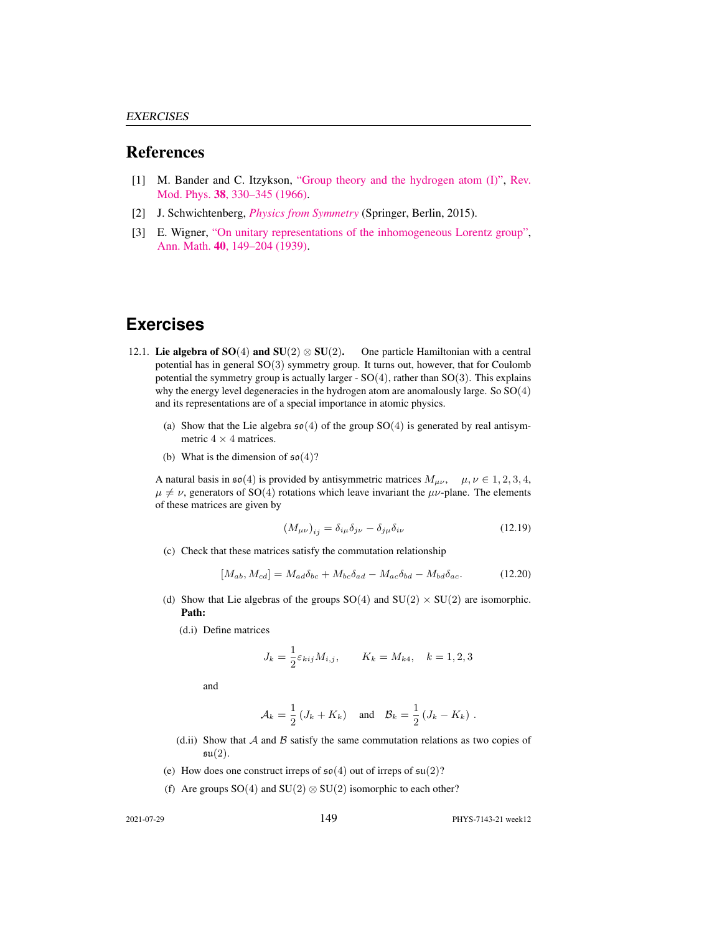#### References

- <span id="page-6-3"></span>[1] M. Bander and C. Itzykson, ["Group theory and the hydrogen atom \(I\)",](http://dx.doi.org/10.1103/revmodphys.38.330) [Rev.](https://doi.org/10.1103/revmodphys.38.330) Mod. Phys. 38[, 330–345 \(1966\).](https://doi.org/10.1103/revmodphys.38.330)
- <span id="page-6-1"></span>[2] J. Schwichtenberg, *[Physics from Symmetry](http://dx.doi.org/10.1007/978-3-319-19201-7)* (Springer, Berlin, 2015).
- <span id="page-6-2"></span>[3] E. Wigner, ["On unitary representations of the inhomogeneous Lorentz group",](http://www.jstor.org/stable/1968551) Ann. Math. 40[, 149–204 \(1939\).](http://www.jstor.org/stable/1968551)

#### **Exercises**

- <span id="page-6-0"></span>12.1. Lie algebra of SO(4) and SU(2)  $\otimes$  SU(2). One particle Hamiltonian with a central potential has in general SO(3) symmetry group. It turns out, however, that for Coulomb potential the symmetry group is actually larger -  $SO(4)$ , rather than  $SO(3)$ . This explains why the energy level degeneracies in the hydrogen atom are anomalously large. So  $SO(4)$ and its representations are of a special importance in atomic physics.
	- (a) Show that the Lie algebra  $\mathfrak{so}(4)$  of the group SO(4) is generated by real antisymmetric  $4 \times 4$  matrices.
	- (b) What is the dimension of  $\mathfrak{so}(4)$ ?

A natural basis in  $\mathfrak{so}(4)$  is provided by antisymmetric matrices  $M_{\mu\nu}$ ,  $\mu, \nu \in 1, 2, 3, 4$ ,  $\mu \neq \nu$ , generators of SO(4) rotations which leave invariant the  $\mu\nu$ -plane. The elements of these matrices are given by

$$
(M_{\mu\nu})_{ij} = \delta_{i\mu}\delta_{j\nu} - \delta_{j\mu}\delta_{i\nu}
$$
 (12.19)

(c) Check that these matrices satisfy the commutation relationship

$$
[M_{ab}, M_{cd}] = M_{ad}\delta_{bc} + M_{bc}\delta_{ad} - M_{ac}\delta_{bd} - M_{bd}\delta_{ac}.
$$
 (12.20)

- (d) Show that Lie algebras of the groups  $SO(4)$  and  $SU(2) \times SU(2)$  are isomorphic. Path:
	- (d.i) Define matrices

$$
J_k = \frac{1}{2} \varepsilon_{kij} M_{i,j}, \qquad K_k = M_{k4}, \quad k = 1, 2, 3
$$

and

$$
\mathcal{A}_k = \frac{1}{2} \left( J_k + K_k \right) \quad \text{and} \quad \mathcal{B}_k = \frac{1}{2} \left( J_k - K_k \right) \, .
$$

- (d.ii) Show that  $A$  and  $B$  satisfy the same commutation relations as two copies of  $\mathfrak{su}(2)$ .
- (e) How does one construct irreps of  $\mathfrak{so}(4)$  out of irreps of  $\mathfrak{su}(2)$ ?
- (f) Are groups  $SO(4)$  and  $SU(2) \otimes SU(2)$  isomorphic to each other?

2021-07-29 149 PHYS-7143-21 week12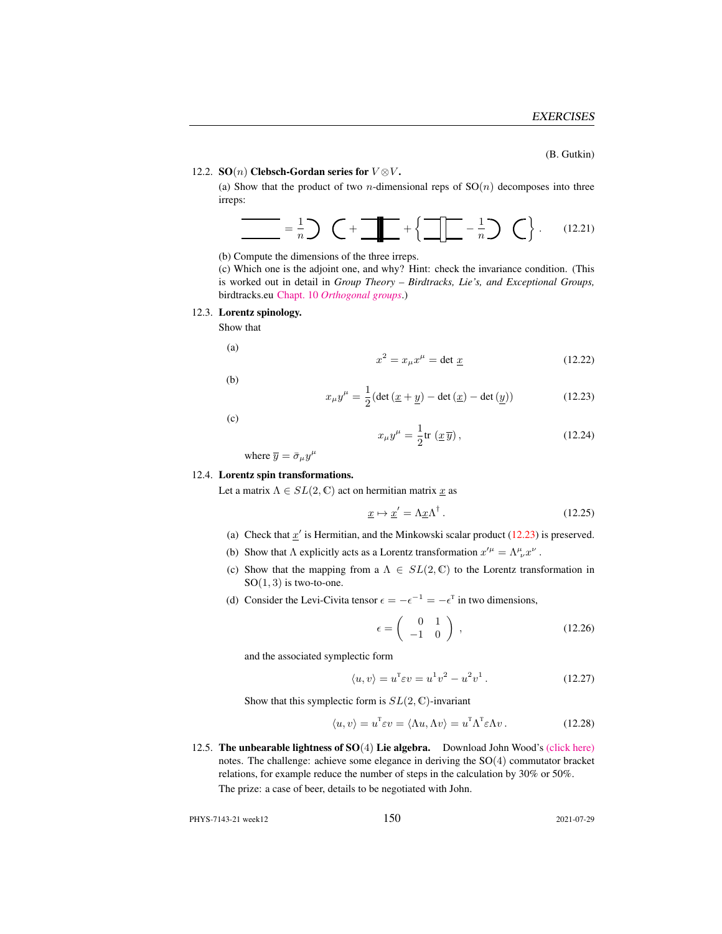(B. Gutkin)

#### <span id="page-7-0"></span>12.2. SO(n) Clebsch-Gordan series for  $V \otimes V$ .

(a) Show that the product of two *n*-dimensional reps of  $SO(n)$  decomposes into three irreps:

$$
\frac{1}{\sqrt{1-\frac{1}{n}}}\sum_{n=1}^{\infty}\left(-\frac{1}{n}\sum_{n=1}^{\infty}\frac{1}{n}\sum_{n=1}^{\infty}\frac{1}{n}\sum_{n=1}^{\infty}\frac{1}{n}\sum_{n=1}^{\infty}\frac{1}{n}\sum_{n=1}^{\infty}\frac{1}{n}\sum_{n=1}^{\infty}\frac{1}{n}\sum_{n=1}^{\infty}\frac{1}{n}\sum_{n=1}^{\infty}\frac{1}{n}\sum_{n=1}^{\infty}\frac{1}{n}\sum_{n=1}^{\infty}\frac{1}{n}\sum_{n=1}^{\infty}\frac{1}{n}\sum_{n=1}^{\infty}\frac{1}{n}\sum_{n=1}^{\infty}\frac{1}{n}\sum_{n=1}^{\infty}\frac{1}{n}\sum_{n=1}^{\infty}\frac{1}{n}\sum_{n=1}^{\infty}\frac{1}{n}\sum_{n=1}^{\infty}\frac{1}{n}\sum_{n=1}^{\infty}\frac{1}{n}\sum_{n=1}^{\infty}\frac{1}{n}\sum_{n=1}^{\infty}\frac{1}{n}\sum_{n=1}^{\infty}\frac{1}{n}\sum_{n=1}^{\infty}\frac{1}{n}\sum_{n=1}^{\infty}\frac{1}{n}\sum_{n=1}^{\infty}\frac{1}{n}\sum_{n=1}^{\infty}\frac{1}{n}\sum_{n=1}^{\infty}\frac{1}{n}\sum_{n=1}^{\infty}\frac{1}{n}\sum_{n=1}^{\infty}\frac{1}{n}\sum_{n=1}^{\infty}\frac{1}{n}\sum_{n=1}^{\infty}\frac{1}{n}\sum_{n=1}^{\infty}\frac{1}{n}\sum_{n=1}^{\infty}\frac{1}{n}\sum_{n=1}^{\infty}\frac{1}{n}\sum_{n=1}^{\infty}\frac{1}{n}\sum_{n=1}^{\infty}\frac{1}{n}\sum_{n=1}^{\infty}\frac{1}{n}\sum_{n=1}^{\infty}\frac{1}{n}\sum_{n=1}^{\infty}\frac{1}{n}\sum_{n=1}^{\infty}\frac{1}{n}\sum_{n=1}^{\infty}\frac{1}{n}\sum_{n=1}^{\infty}\frac{1}{n}\sum_{n=1}^{\infty}\frac{1}{n}\sum_{n=1}^{\in
$$

(b) Compute the dimensions of the three irreps.

(c) Which one is the adjoint one, and why? Hint: check the invariance condition. (This is worked out in detail in *Group Theory – Birdtracks, Lie's, and Exceptional Groups,* birdtracks.eu Chapt. 10 *[Orthogonal groups](http://birdtracks.eu/version9.0/GroupTheory.pdf#equation.10.0.1)*.)

#### <span id="page-7-1"></span>12.3. Lorentz spinology.

Show that

(a)

(b)

(c)

$$
x^2 = x_\mu x^\mu = \det \underline{x} \tag{12.22}
$$

<span id="page-7-4"></span> $x_\mu y^\mu = \frac{1}{2}$  $\frac{1}{2}$ (det ( $\underline{x} + \underline{y}$ ) – det ( $\underline{x}$ ) – det ( $\underline{y}$ ) (12.23)

$$
x_{\mu}y^{\mu} = \frac{1}{2}\text{tr}\left(\underline{x}\,\overline{y}\right),\tag{12.24}
$$

where  $\overline{y} = \overline{\sigma}_{\mu} y^{\mu}$ 

#### <span id="page-7-2"></span>12.4. Lorentz spin transformations.

Let a matrix  $\Lambda \in SL(2, \mathbb{C})$  act on hermitian matrix  $\underline{x}$  as

$$
\underline{x} \mapsto \underline{x}' = \Lambda \underline{x} \Lambda^{\dagger} \,. \tag{12.25}
$$

- (a) Check that  $x'$  is Hermitian, and the Minkowski scalar product [\(12.23\)](#page-7-4) is preserved.
- (b) Show that  $\Lambda$  explicitly acts as a Lorentz transformation  $x'^{\mu} = \Lambda^{\mu}_{\ \nu} x^{\nu}$ .
- (c) Show that the mapping from a  $\Lambda \in SL(2, \mathbb{C})$  to the Lorentz transformation in  $SO(1,3)$  is two-to-one.
- (d) Consider the Levi-Civita tensor  $\epsilon = -\epsilon^{-1} = -\epsilon^{T}$  in two dimensions,

$$
\epsilon = \left(\begin{array}{cc} 0 & 1 \\ -1 & 0 \end{array}\right) , \qquad (12.26)
$$

and the associated symplectic form

$$
\langle u, v \rangle = u^{\mathrm{T}} \varepsilon v = u^{\mathrm{T}} v^2 - u^2 v^1. \tag{12.27}
$$

Show that this symplectic form is  $SL(2, \mathbb{C})$ -invariant

$$
\langle u, v \rangle = u^{\mathsf{T}} \varepsilon v = \langle \Lambda u, \Lambda v \rangle = u^{\mathsf{T}} \Lambda^{\mathsf{T}} \varepsilon \Lambda v. \tag{12.28}
$$

<span id="page-7-3"></span>12.5. The unbearable lightness of  $SO(4)$  Lie algebra. Download John Wood's [\(click here\)](http://ChaosBook.org/library/WoodCh9KeplerProb.pdf) notes. The challenge: achieve some elegance in deriving the SO(4) commutator bracket relations, for example reduce the number of steps in the calculation by 30% or 50%. The prize: a case of beer, details to be negotiated with John.

PHYS-7143-21 week12 2021-07-29